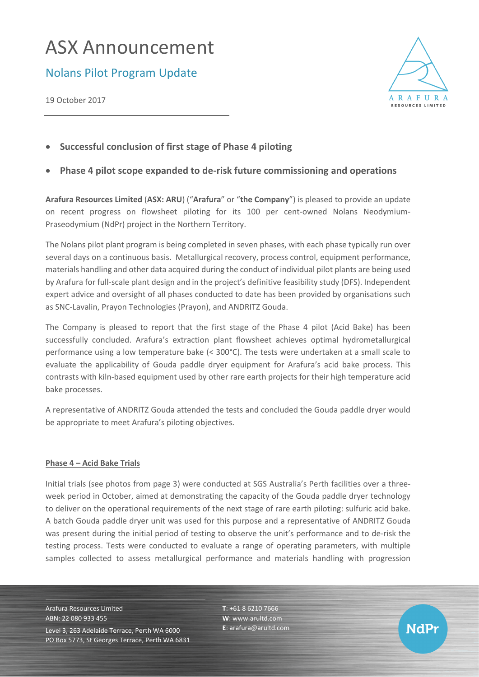# ASX Announcement

Nolans Pilot Program Update

19 October 2017



• **Successful conclusion of first stage of Phase 4 piloting**

# • **Phase 4 pilot scope expanded to de-risk future commissioning and operations**

**Arafura Resources Limited** (**ASX: ARU**) ("**Arafura**" or "**the Company**") is pleased to provide an update on recent progress on flowsheet piloting for its 100 per cent-owned Nolans Neodymium-Praseodymium (NdPr) project in the Northern Territory.

The Nolans pilot plant program is being completed in seven phases, with each phase typically run over several days on a continuous basis. Metallurgical recovery, process control, equipment performance, materials handling and other data acquired during the conduct of individual pilot plants are being used by Arafura for full-scale plant design and in the project's definitive feasibility study (DFS). Independent expert advice and oversight of all phases conducted to date has been provided by organisations such as SNC-Lavalin, Prayon Technologies (Prayon), and ANDRITZ Gouda.

The Company is pleased to report that the first stage of the Phase 4 pilot (Acid Bake) has been successfully concluded. Arafura's extraction plant flowsheet achieves optimal hydrometallurgical performance using a low temperature bake (< 300°C). The tests were undertaken at a small scale to evaluate the applicability of Gouda paddle dryer equipment for Arafura's acid bake process. This contrasts with kiln-based equipment used by other rare earth projects for their high temperature acid bake processes.

A representative of ANDRITZ Gouda attended the tests and concluded the Gouda paddle dryer would be appropriate to meet Arafura's piloting objectives.

### **Phase 4 – Acid Bake Trials**

Initial trials (see photos from page 3) were conducted at SGS Australia's Perth facilities over a threeweek period in October, aimed at demonstrating the capacity of the Gouda paddle dryer technology to deliver on the operational requirements of the next stage of rare earth piloting: sulfuric acid bake. A batch Gouda paddle dryer unit was used for this purpose and a representative of ANDRITZ Gouda was present during the initial period of testing to observe the unit's performance and to de-risk the testing process. Tests were conducted to evaluate a range of operating parameters, with multiple samples collected to assess metallurgical performance and materials handling with progression

Arafura Resources Limited ABN: 22 080 933 455 Level 3, 263 Adelaide Terrace, Perth WA 6000 PO Box 5773, St Georges Terrace, Perth WA 6831 **T**: +61 8 6210 7666 **W**: [www.arultd.com](http://www.arultd.com/) **E**[: arafura@arultd.com](mailto:arafura@arultd.com)

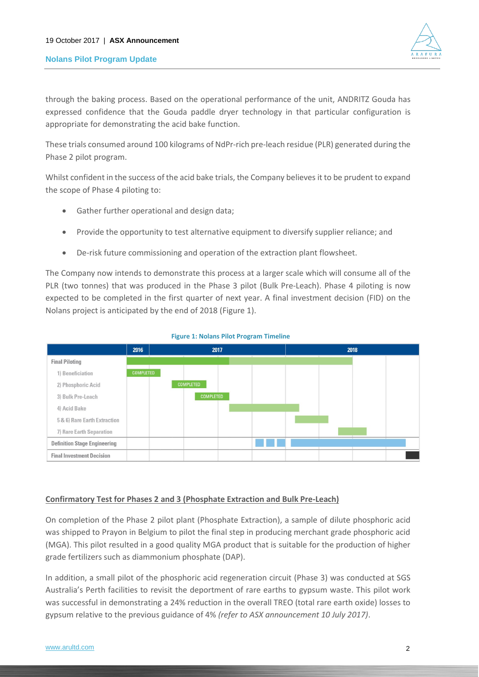#### **Nolans Pilot Program Update**



through the baking process. Based on the operational performance of the unit, ANDRITZ Gouda has expressed confidence that the Gouda paddle dryer technology in that particular configuration is appropriate for demonstrating the acid bake function.

These trials consumed around 100 kilograms of NdPr-rich pre-leach residue (PLR) generated during the Phase 2 pilot program.

Whilst confident in the success of the acid bake trials, the Company believes it to be prudent to expand the scope of Phase 4 piloting to:

- Gather further operational and design data;
- Provide the opportunity to test alternative equipment to diversify supplier reliance; and
- De-risk future commissioning and operation of the extraction plant flowsheet.

The Company now intends to demonstrate this process at a larger scale which will consume all of the PLR (two tonnes) that was produced in the Phase 3 pilot (Bulk Pre-Leach). Phase 4 piloting is now expected to be completed in the first quarter of next year. A final investment decision (FID) on the Nolans project is anticipated by the end of 2018 (Figure 1).



**Figure 1: Nolans Pilot Program Timeline**

#### **Confirmatory Test for Phases 2 and 3 (Phosphate Extraction and Bulk Pre-Leach)**

On completion of the Phase 2 pilot plant (Phosphate Extraction), a sample of dilute phosphoric acid was shipped to Prayon in Belgium to pilot the final step in producing merchant grade phosphoric acid (MGA). This pilot resulted in a good quality MGA product that is suitable for the production of higher grade fertilizers such as diammonium phosphate (DAP).

In addition, a small pilot of the phosphoric acid regeneration circuit (Phase 3) was conducted at SGS Australia's Perth facilities to revisit the deportment of rare earths to gypsum waste. This pilot work was successful in demonstrating a 24% reduction in the overall TREO (total rare earth oxide) losses to gypsum relative to the previous guidance of 4% *(refer to ASX announcement 10 July 2017)*.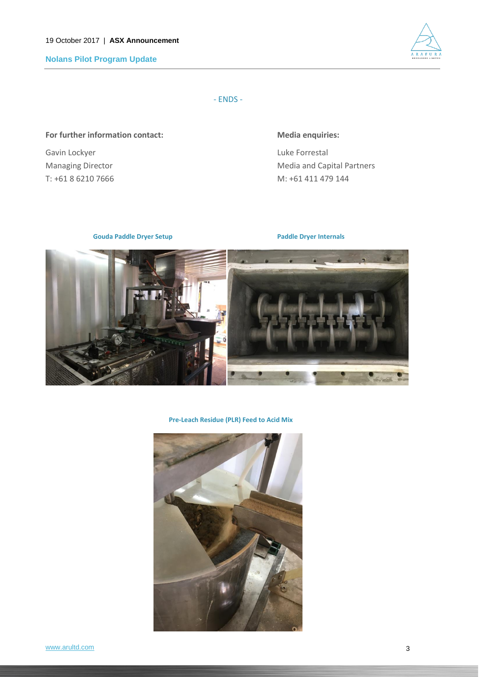**Nolans Pilot Program Update**



- ENDS -

### For further information contact: Media enquiries:

Gavin Lockyer **Luke Formestal** 

Managing Director **Media and Capital Partners** Media and Capital Partners T: +61 8 6210 7666 M: +61 411 479 144

 **Gouda Paddle Dryer Setup Paddle Dryer Internals** 



**Pre-Leach Residue (PLR) Feed to Acid Mix**